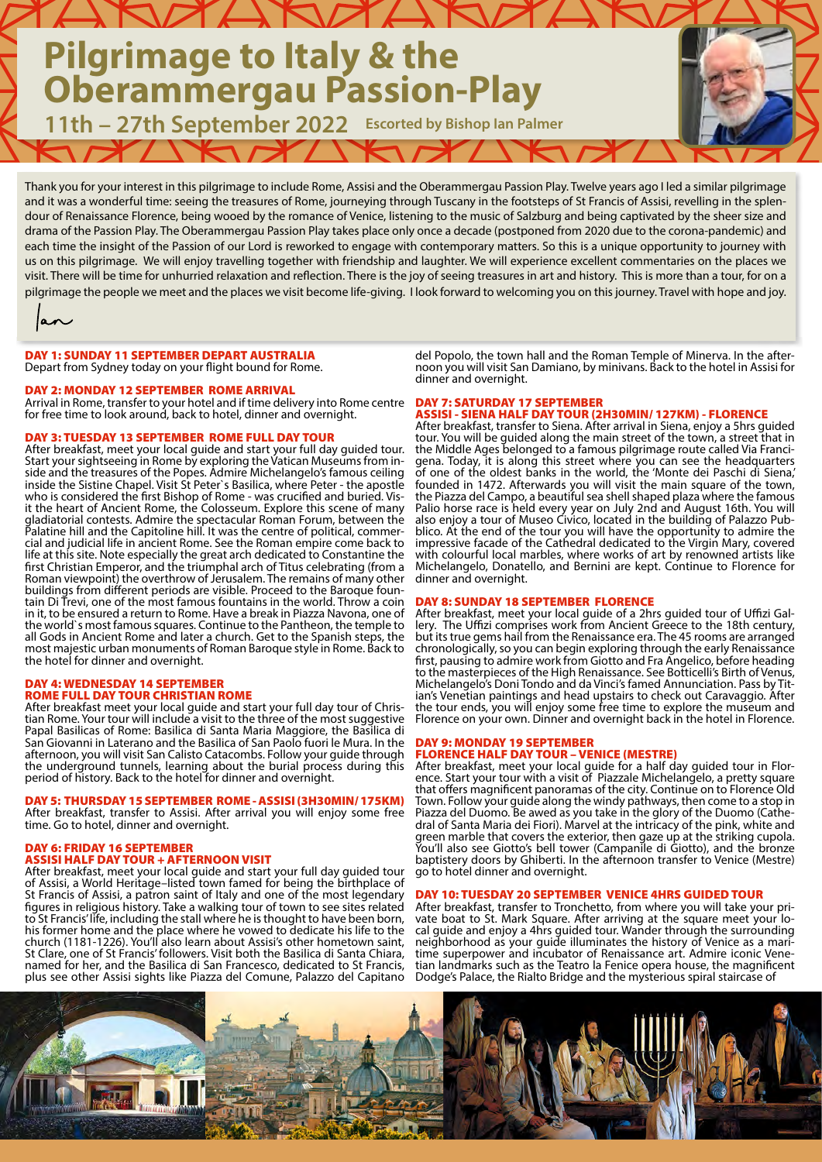# **Pilgrimage to Italy & the Oberammergau Passion-Play**

**11th – 27th September 2022 Escorted by Bishop Ian Palmer**

Thank you for your interest in this pilgrimage to include Rome, Assisi and the Oberammergau Passion Play. Twelve years ago I led a similar pilgrimage and it was a wonderful time: seeing the treasures of Rome, journeying through Tuscany in the footsteps of St Francis of Assisi, revelling in the splendour of Renaissance Florence, being wooed by the romance of Venice, listening to the music of Salzburg and being captivated by the sheer size and drama of the Passion Play. The Oberammergau Passion Play takes place only once a decade (postponed from 2020 due to the corona-pandemic) and each time the insight of the Passion of our Lord is reworked to engage with contemporary matters. So this is a unique opportunity to journey with us on this pilgrimage. We will enjoy travelling together with friendship and laughter. We will experience excellent commentaries on the places we visit. There will be time for unhurried relaxation and reflection. There is the joy of seeing treasures in art and history. This is more than a tour, for on a pilgrimage the people we meet and the places we visit become life-giving. I look forward to welcoming you on this journey. Travel with hope and joy.

an

#### DAY 1: SUNDAY 11 SEPTEMBER DEPART AUSTRALIA Depart from Sydney today on your flight bound for Rome.

### DAY 2: MONDAY 12 SEPTEMBER ROME ARRIVAL

Arrival in Rome, transfer to your hotel and if time delivery into Rome centre for free time to look around, back to hotel, dinner and overnight.

#### DAY 3: TUESDAY 13 SEPTEMBER ROME FULL DAY TOUR

After breakfast, meet your local guide and start your full day guided tour. Start your sightseeing in Rome by exploring the Vatican Museums from in- side and the treasures of the Popes. Admire Michelangelo's famous ceiling inside the Sistine Chapel. Visit St Peter`s Basilica, where Peter - the apostle who is considered the first Bishop of Rome - was crucified and buried. Vis-<br>it the heart of Ancient Rome, the Colosseum. Explore this scene of many gladiatorial contests. Admire the spectacular Roman Forum, between the Palatine hill and the Capitoline hill. It was the centre of political, commer- cial and judicial life in ancient Rome. See the Roman empire come back to life at this site. Note especially the great arch dedicated to Constantine the first Christian Emperor, and the triumphal arch of Titus celebrating (from a Roman viewpoint) the overthrow of Jerusalem. The remains of many other buildings from different periods are visible. Proceed to the Baroque foun-<br>tain Di Trevi, one of the most famous fountains in the world. Throw a coin in it, to be ensured a return to Rome. Have a break in Piazza Navona, one of the world`s most famous squares. Continue to the Pantheon, the temple to all Gods in Ancient Rome and later a church. Get to the Spanish steps, the most majestic urban monuments of Roman Baroque style in Rome. Back to the hotel for dinner and overnight.

#### DAY 4: WEDNESDAY 14 SEPTEMBER ROME FULL DAY TOUR CHRISTIAN ROME

After breakfast meet your local guide and start your full day tour of Chris- tian Rome. Your tour will include a visit to the three of the most suggestive Papal Basilicas of Rome: Basilica di Santa Maria Maggiore, the Basilica di San Giovanni in Laterano and the Basilica of San Paolo fuori le Mura. In the afternoon, you will visit San Calisto Catacombs. Follow your guide through the underground tunnels, learning about the burial process during this period of history. Back to the hotel for dinner and overnight.

### DAY 5: THURSDAY 15 SEPTEMBER ROME - ASSISI (3H30MIN/ 175KM)

After breakfast, transfer to Assisi. After arrival you will enjoy some free time. Go to hotel, dinner and overnight.

## DAY 6: FRIDAY 16 SEPTEMBER

**SSISI HALF DAY TOUR + AFTERNOON VISIT** 

After breakfast, meet your local guide and start your full day guided tour of Assisi, a World Heritage–listed town famed for being the birthplace of St Francis of Assisi, a patron saint of Italy and one of the most legendary figures in religious history. Take a walking tour of town to see sites related to St Francis' life, including the stall where he is thought to have been born, his former home and the place where he vowed to dedicate his life to the church (1181-1226). You'll also learn about Assisi's other hometown saint, St Clare, one of St Francis' followers. Visit both the Basilica di Santa Chiara, named for her, and the Basilica di San Francesco, dedicated to St Francis, plus see other Assisi sights like Piazza del Comune, Palazzo del Capitano

del Popolo, the town hall and the Roman Temple of Minerva. In the after- noon you will visit San Damiano, by minivans. Back to the hotel in Assisi for dinner and overnight.

DAY 7: SATURDAY 17 SEPTEMBER ASSISI - SIENA HALF DAY TOUR (2H30MIN/ 127KM) - FLORENCE

After breakfast, transfer to Siena. After arrival in Siena, enjoy a 5hrs guided tour. You will be guided along the main street of the town, a street that in the Middle Ages belonged to a famous pilgrimage route called Via Francithe Middle Ages belonged to a famous pilgrimage route called Via Franci-<br>gena. Today, it is along this street where you can see the headquarters of one of the oldest banks in the world, the 'Monte dei Paschi di Siena,' founded in 1472. Afterwards you will visit the main square of the town, the Piazza del Campo, a beautiful sea shell shaped plaza where the famous Palio horse race is held every year on July 2nd and August 16th. You will also enjoy a tour of Museo Civico, located in the building of Palazzo Pub- blico. At the end of the tour you will have the opportunity to admire the impressive facade of the Cathedral dedicated to the Virgin Mary, covered with colourful local marbles, where works of art by renowned artists like Michelangelo, Donatello, and Bernini are kept. Continue to Florence for dinner and overnight.

DAY 8: SUNDAY 18 SEPTEMBER FLORENCE<br>After breakfast, meet your local guide of a 2hrs guided tour of Uffizi Gallery. The Uffizi comprises work from Ancient Greece to the 18th century, but its true gems hail from the Renaissance era. The 45 rooms are arranged chronologically, so you can begin exploring through the early Renaissance first, pausing to admire work from Giotto and Fra Angelico, before heading to the masterpieces of the High Renaissance. See Botticelli's Birth of Venus, Michelangelo's Doni Tondo and da Vinci's famed Annunciation. Pass by Tit- ian's Venetian paintings and head upstairs to check out Caravaggio. After the tour ends, you will enjoy some free time to explore the museum and Florence on your own. Dinner and overnight back in the hotel in Florence.

#### DAY 9: MONDAY 19 SEPTEMBER FLORENCE HALF DAY TOUR – VENICE (MESTRE)

After breakfast, meet your local guide for a half day guided tour in Flor- ence. Start your tour with a visit of Piazzale Michelangelo, a pretty square that offers magnificent panoramas of the city. Continue on to Florence Old Town. Follow your guide along the windy pathways, then come to a stop in Piazza del Duomo. Be awed as you take in the glory of the Duomo (Cathe- dral of Santa Maria dei Fiori). Marvel at the intricacy of the pink, white and green marble that covers the exterior, then gaze up at the striking cupola. You'll also see Giotto's bell tower (Campanile di Giotto), and the bronze baptistery doors by Ghiberti. In the afternoon transfer to Venice (Mestre) go to hotel dinner and overnight.

# DAY 10: TUESDAY 20 SEPTEMBER VENICE 4HRS GUIDED TOUR<br>After breakfast, transfer to Tronchetto, from where you will take your pri-

After arriving at the square meet your universely where you will take your price of the square meet your lo-<br>cal guide and enjoy a 4hrs guided tour. Wander through the surrounding<br>neighborhood as your guide illuminates the neighborhood as your guide illuminates the history of Venice as a mari-<br>time superpower and incubator of Renaissance art. Admire iconic Vene-<br>tian landmarks such as the Teatro la Fenice opera house, the magnificent Dodge's Palace, the Rialto Bridge and the mysterious spiral staircase of

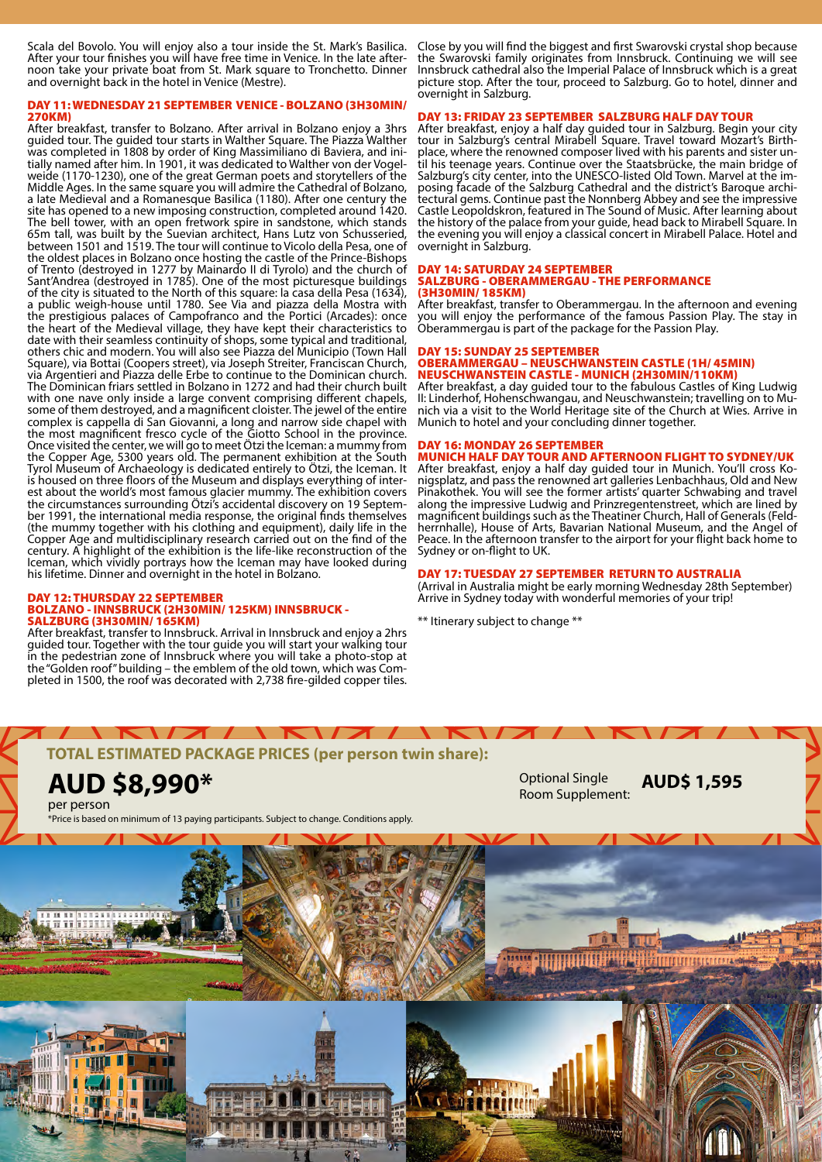Scala del Bovolo. You will enjoy also a tour inside the St. Mark's Basilica. After your tour finishes you will have free time in Venice. In the late after-<br>noon take your private boat from St. Mark square to Tronchetto. Dinner and overnight back in the hotel in Venice (Mestre).

#### DAY 11: WEDNESDAY 21 SEPTEMBER VENICE - BOLZANO (3H30MIN/ 270KM)

After breakfast, transfer to Bolzano. After arrival in Bolzano enjoy a 3hrs guided tour. The guided tour starts in Walther Square. The Piazza Walther was completed in 1808 by order of King Massimiliano di Baviera, and ini-<br>tially named after him. In 1901, it was dedicated to Walther von der Vogel-<br>weide (1170-1230), one of the great German poets and storytellers of the Middle Ages. In the same square you will admire the Cathedral of Bolzano, a late Medieval and a Romanesque Basilica (1180). After one century the site has opened to a new imposing construction, completed around 1420. The bell tower, with an open fretwork spire in sandstone, which stands 65m tall, was built by the Suevian architect, Hans Lutz von Schusseried, between 1501 and 1519. The tour will continue to Vicolo della Pesa, one of the oldest places in Bolzano once hosting the castle of the Prince-Bishops of Trento (destroyed in 1277 by Mainardo II di Tyrolo) and the church of Sant'Andrea (destroyed in 1785). One of the most picturesque buildings of the city is situated to the North of this square: la casa della Pesa (1634), a public weigh-house until 1780. See Via and piazza della Mostra with the prestigious palaces of Campofranco and the Portici (Arcades): once the heart of the Medieval village, they have kept their characteristics to date with their seamless continuity of shops, some typical and traditional, others chic and modern. You will also see Piazza del Municipio (Town Hall Square), via Bottai (Coopers street), via Joseph Streiter, Franciscan Church, via Argentieri and Piazza delle Erbe to continue to the Dominican church. The Dominican friars settled in Bolzano in 1272 and had their church built with one nave only inside a large convent comprising different chapels, some of them destroyed, and a magnificent cloister. The jewel of the entire complex is cappella di San Giovanni, a long and narrow side chapel with the most magnificent fresco cycle of the Giotto School in the province. Once visited the center, we will go to meet Ötzi the Iceman: a mummy from the Copper Age, 5300 years old. The permanent exhibition at the South Tyrol Museum of Archaeology is dedicated entirely to Ötzi, the Iceman. It is housed on three floors of the Museum and displays everything of inter-<br>est about the world's most famous glacier mummy. The exhibition covers the circumstances surrounding Ötzi<sup>7</sup>s accidental discovery on 19 Septem-<br>ber 1991, the international media response, the original finds themselves (the mummy together with his clothing and equipment), daily life in the Copper Age and multidisciplinary research carried out on the find of the century. A highlight of the exhibition is the life-like reconstruction of the Iceman, which vividly portrays how the Iceman may have looked during his lifetime. Dinner and overnight in the hotel in Bolzano.

#### DAY 12: THURSDAY 22 SEPTEMBER BOLZANO - INNSBRUCK (2H30MIN/ 125KM) INNSBRUCK - SALZBURG (3H30MIN/ 165KM)

After breakfast, transfer to Innsbruck. Arrival in Innsbruck and enjoy a 2hrs guided tour. Together with the tour guide you will start your walking tour in the pedestrian zone of Innsbruck where you will take a photo-stop at the "Golden roof" building – the emblem of the old town, which was Com- pleted in 1500, the roof was decorated with 2,738 fire-gilded copper tiles.

Close by you will find the biggest and first Swarovski crystal shop because the Swarovski family originates from Innsbruck. Continuing we will see Innsbruck cathedral also the Imperial Palace of Innsbruck which is a great picture stop. After the tour, proceed to Salzburg. Go to hotel, dinner and overnight in Salzburg.

### DAY 13: FRIDAY 23 SEPTEMBER SALZBURG HALF DAY TOUR

After breakfast, enjoy a half day guided tour in Salzburg. Begin your city tour in Salzburg's central Mirabell Square. Travel toward Mozart's Birth-<br>place, where the renowned composer lived with his parents and sister un-<br>til his teenage years. Continue over the Staatsbrücke, the main bridge of It is the salzburg's city center, into the UNESCO-listed Old Town. Marvel at the im-<br>posing facade of the Salzburg Cathedral and the district's Baroque archi-<br>tectural gems. Continue past the Nonnberg Abbey and see the imp Castle Leopoldskron, featured in The Sound of Music. After learning about the history of the palace from your guide, head back to Mirabell Square. In the evening you will enjoy a classical concert in Mirabell Palace. Hotel and overnight in Salzburg.

#### DAY 14: SATURDAY 24 SEPTEMBER SALZBURG - OBERAMMERGAU - THE PERFORMANCE (3H30MIN/ 185KM)

After breakfast, transfer to Oberammergau. In the afternoon and evening you will enjoy the performance of the famous Passion Play. The stay in Oberammergau is part of the package for the Passion Play.

#### DAY 15: SUNDAY 25 SEPTEMBER OBERAMMERGAU – NEUSCHWANSTEIN CASTLE (1H/ 45MIN) NEUSCHWANSTEIN CASTLE - MUNICH (2H30MIN/110KM)

After breakfast, a day guided tour to the fabulous Castles of King Ludwig II: Linderhof, Hohenschwangau, and Neuschwanstein; travelling on to Mu- nich via a visit to the World Heritage site of the Church at Wies. Arrive in Munich to hotel and your concluding dinner together.

### DAY 16: MONDAY 26 SEPTEMBER

**MUNICH HALF DAY TOUR AND AFTERNOON FLIGHT TO SYDNEY/UK**<br>After breakfast, enjoy a half day guided tour in Munich. You'll cross Konigsplatz, and pass the renowned art galleries Lenbachhaus, Old and New Pinakothek. You will see the former artists' quarter Schwabing and travel along the impressive Ludwig and Prinzregentenstreet, which are lined by magnificent buildings such as the Theatiner Church, Hall of Generals (Feld- herrnhalle), House of Arts, Bavarian National Museum, and the Angel of Peace. In the afternoon transfer to the airport for your flight back home to Sydney or on-flight to UK.

#### DAY 17: TUESDAY 27 SEPTEMBER RETURN TO AUSTRALIA

(Arrival in Australia might be early morning Wednesday 28th September) Arrive in Sydney today with wonderful memories of your trip!

\*\* Itinerary subject to change \*\*



**AUD \$8,990\* Cause Controller Controller Second Single Controller Controller Controller Controller Controller Controller Controller Controller Room Supplement:** 

per person

\*Price is based on minimum of 13 paying participants. Subject to change. Conditions apply.

**AUD\$ 1,595**